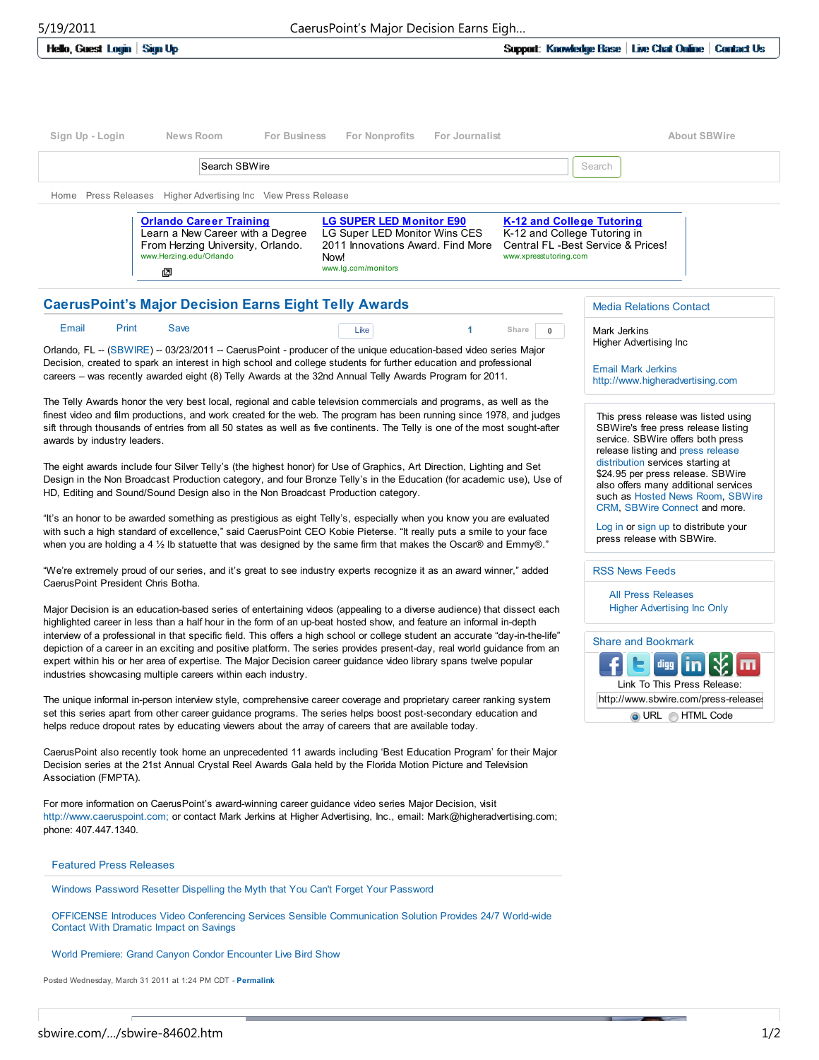Hello, Guest Login | Sign Up

| Sign Up - Login               | News Room<br><b>For Business</b>                                                                                                        | <b>For Nonprofits</b><br>For Journalist                                                                                              | <b>About SBWire</b>                                                                                                        |
|-------------------------------|-----------------------------------------------------------------------------------------------------------------------------------------|--------------------------------------------------------------------------------------------------------------------------------------|----------------------------------------------------------------------------------------------------------------------------|
|                               | Search SBWire                                                                                                                           |                                                                                                                                      | Search                                                                                                                     |
| <b>Press Releases</b><br>Home | Higher Advertising Inc View Press Release                                                                                               |                                                                                                                                      |                                                                                                                            |
|                               | <b>Orlando Career Training</b><br>Learn a New Career with a Degree<br>From Herzing University, Orlando.<br>www.Herzing.edu/Orlando<br>回 | <b>LG SUPER LED Monitor E90</b><br>LG Super LED Monitor Wins CES<br>2011 Innovations Award, Find More<br>Now!<br>www.lg.com/monitors | K-12 and College Tutoring<br>K-12 and College Tutoring in<br>Central FL - Best Service & Prices!<br>www.xpresstutoring.com |

## CaerusPoint's Major Decision Earns Eight Telly Awards

| Email Print Save | Like | $1$ Share $0$ |  |
|------------------|------|---------------|--|
|                  |      |               |  |

Orlando, FL -- (SBWIRE) -- 03/23/2011 -- CaerusPoint - producer of the unique education-based video series Major Decision, created to spark an interest in high school and college students for further education and professional careers – was recently awarded eight (8) Telly Awards at the 32nd Annual Telly Awards Program for 2011.

The Telly Awards honor the very best local, regional and cable television commercials and programs, as well as the finest video and film productions, and work created for the web. The program has been running since 1978, and judges sift through thousands of entries from all 50 states as well as five continents. The Telly is one of the most sought-after awards by industry leaders.

The eight awards include four Silver Telly's (the highest honor) for Use of Graphics, Art Direction, Lighting and Set Design in the Non Broadcast Production category, and four Bronze Telly's in the Education (for academic use), Use of HD, Editing and Sound/Sound Design also in the Non Broadcast Production category.

"It's an honor to be awarded something as prestigious as eight Telly's, especially when you know you are evaluated with such a high standard of excellence," said CaerusPoint CEO Kobie Pieterse. "It really puts a smile to your face when you are holding a 4  $\frac{1}{2}$  Ib statuette that was designed by the same firm that makes the Oscar® and Emmy®."

"We're extremely proud of our series, and it's great to see industry experts recognize it as an award winner," added CaerusPoint President Chris Botha.

Major Decision is an education-based series of entertaining videos (appealing to a diverse audience) that dissect each highlighted career in less than a half hour in the form of an up-beat hosted show, and feature an informal in-depth interview of a professional in that specific field. This offers a high school or college student an accurate "day-in-the-life" depiction of a career in an exciting and positive platform. The series provides present-day, real world guidance from an expert within his or her area of expertise. The Major Decision career guidance video library spans twelve popular industries showcasing multiple careers within each industry.

The unique informal in-person interview style, comprehensive career coverage and proprietary career ranking system set this series apart from other career guidance programs. The series helps boost post-secondary education and helps reduce dropout rates by educating viewers about the array of careers that are available today.

CaerusPoint also recently took home an unprecedented 11 awards including 'Best Education Program' for their Major Decision series at the 21st Annual Crystal Reel Awards Gala held by the Florida Motion Picture and Television Association (FMPTA).

For more information on CaerusPoint's award-winning career guidance video series Major Decision, visit http://www.caeruspoint.com; or contact Mark Jerkins at Higher Advertising, Inc., email: Mark@higheradvertising.com; phone: 407.447.1340.

## Featured Press Releases

Windows Password Resetter Dispelling the Myth that You Can't Forget Your Password

OFFICENSE Introduces Video Conferencing Services Sensible Communication Solution Provides 24/7 World-wide Contact With Dramatic Impact on Savings

World Premiere: Grand Canyon Condor Encounter Live Bird Show

Posted Wednesday, March 31 2011 at 1:24 PM CDT - Permalink

## Media Relations Contact

Mark Jerkins Higher Advertising Inc

Email Mark Jerkins http://www.higheradvertising.com

This press release was listed using SBWire's free press release listing service. SBWire offers both press release listing and press release distribution services starting at \$24.95 per press release. SBWire also offers many additional services such as Hosted News Room, SBWire CRM, SBWire Connect and more.

Log in or sign up to distribute your press release with SBWire.

## RSS News Feeds

All Press Releases Higher Advertising Inc Only